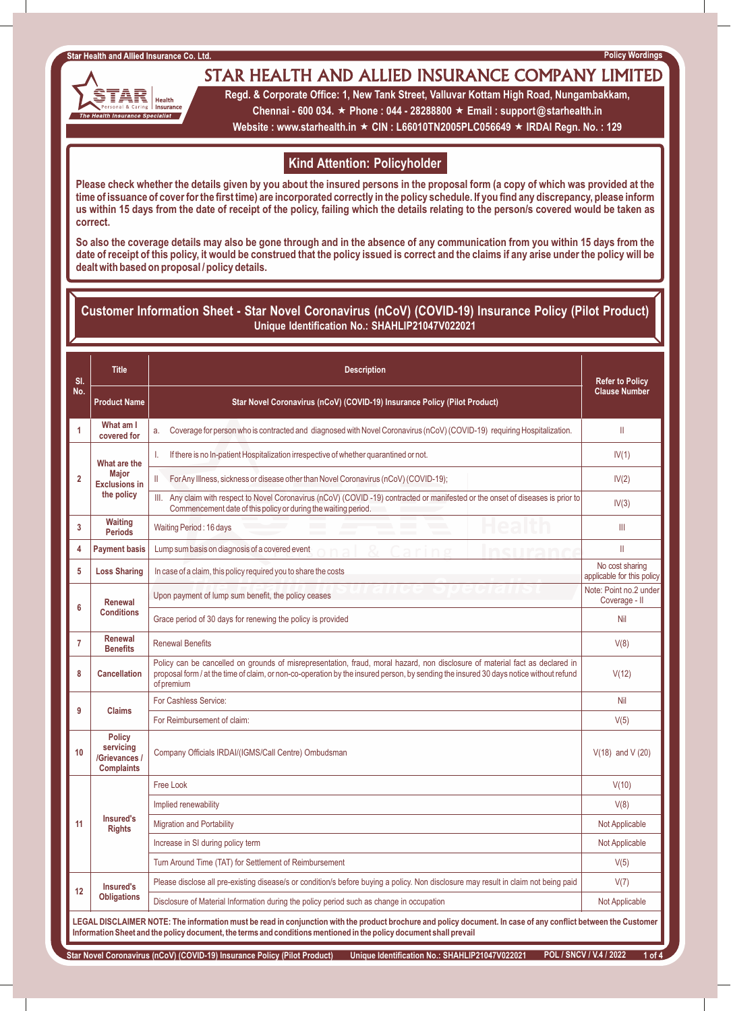# STAR HEALTH AND ALLIED INSURANCE COMPANY LIMITED



**Regd. & Corporate Office: 1, New Tank Street, Valluvar Kottam High Road, Nungambakkam, Chennai - 600 034.** « **Phone : 044 - 28288800** « **Email : support@starhealth.in** 

**Website : www.starhealth.in ★ CIN : L66010TN2005PLC056649 ★ IRDAI Regn. No. : 129** 

## **Kind Attention: Policyholder**

**Please check whether the details given by you about the insured persons in the proposal form (a copy of which was provided at the time of issuance of cover for the first time) are incorporated correctly in the policy schedule. If you find any discrepancy, please inform us within 15 days from the date of receipt of the policy, failing which the details relating to the person/s covered would be taken as correct.**

**So also the coverage details may also be gone through and in the absence of any communication from you within 15 days from the date of receipt of this policy, it would be construed that the policy issued is correct and the claims if any arise under the policy will be dealt with based on proposal / policy details.**

## **Customer Information Sheet - Star Novel Coronavirus (nCoV) (COVID-19) Insurance Policy (Pilot Product) Unique Identification No.: SHAHLIP21047V022021**

| SI.<br>No.                                                                                                                                                                                                                                                                           | <b>Title</b>                                                     | <b>Description</b>                                                                                                                                                                                                                                                                  | <b>Refer to Policy</b>                        |  |  |  |  |
|--------------------------------------------------------------------------------------------------------------------------------------------------------------------------------------------------------------------------------------------------------------------------------------|------------------------------------------------------------------|-------------------------------------------------------------------------------------------------------------------------------------------------------------------------------------------------------------------------------------------------------------------------------------|-----------------------------------------------|--|--|--|--|
|                                                                                                                                                                                                                                                                                      | <b>Product Name</b>                                              | Star Novel Coronavirus (nCoV) (COVID-19) Insurance Policy (Pilot Product)                                                                                                                                                                                                           | <b>Clause Number</b>                          |  |  |  |  |
| 1                                                                                                                                                                                                                                                                                    | What am I<br>covered for                                         | Coverage for person who is contracted and diagnosed with Novel Coronavirus (nCoV) (COVID-19) requiring Hospitalization.<br>a.                                                                                                                                                       | $\mathbf{H}$                                  |  |  |  |  |
| 2                                                                                                                                                                                                                                                                                    | What are the                                                     | If there is no In-patient Hospitalization irrespective of whether quarantined or not.<br>T.                                                                                                                                                                                         | IV(1)                                         |  |  |  |  |
|                                                                                                                                                                                                                                                                                      | <b>Maior</b><br><b>Exclusions in</b>                             | $\mathbf{H}$<br>For Any Illness, sickness or disease other than Novel Coronavirus (nCoV) (COVID-19);                                                                                                                                                                                | IV(2)                                         |  |  |  |  |
|                                                                                                                                                                                                                                                                                      | the policy                                                       | Any claim with respect to Novel Coronavirus (nCoV) (COVID-19) contracted or manifested or the onset of diseases is prior to<br>III.<br>Commencement date of this policy or during the waiting period.                                                                               | IV(3)                                         |  |  |  |  |
| 3                                                                                                                                                                                                                                                                                    | <b>Waiting</b><br><b>Periods</b>                                 | Waiting Period: 16 days                                                                                                                                                                                                                                                             | Ш                                             |  |  |  |  |
| 4                                                                                                                                                                                                                                                                                    | <b>Payment basis</b>                                             | Lump sum basis on diagnosis of a covered event                                                                                                                                                                                                                                      | $\mathbf{I}$                                  |  |  |  |  |
| 5                                                                                                                                                                                                                                                                                    | <b>Loss Sharing</b>                                              | In case of a claim, this policy required you to share the costs                                                                                                                                                                                                                     | No cost sharing<br>applicable for this policy |  |  |  |  |
| 6                                                                                                                                                                                                                                                                                    | Renewal                                                          | Upon payment of lump sum benefit, the policy ceases                                                                                                                                                                                                                                 | Note: Point no.2 under<br>Coverage - II       |  |  |  |  |
|                                                                                                                                                                                                                                                                                      | <b>Conditions</b>                                                | Grace period of 30 days for renewing the policy is provided                                                                                                                                                                                                                         | <b>Nil</b>                                    |  |  |  |  |
| $\overline{7}$                                                                                                                                                                                                                                                                       | Renewal<br><b>Benefits</b>                                       | <b>Renewal Benefits</b>                                                                                                                                                                                                                                                             | V(8)                                          |  |  |  |  |
| 8                                                                                                                                                                                                                                                                                    | <b>Cancellation</b>                                              | Policy can be cancelled on grounds of misrepresentation, fraud, moral hazard, non disclosure of material fact as declared in<br>proposal form / at the time of claim, or non-co-operation by the insured person, by sending the insured 30 days notice without refund<br>of premium | V(12)                                         |  |  |  |  |
| 9                                                                                                                                                                                                                                                                                    | <b>Claims</b>                                                    | For Cashless Service:                                                                                                                                                                                                                                                               | Nil                                           |  |  |  |  |
|                                                                                                                                                                                                                                                                                      |                                                                  | For Reimbursement of claim:                                                                                                                                                                                                                                                         | V(5)                                          |  |  |  |  |
| 10                                                                                                                                                                                                                                                                                   | <b>Policy</b><br>servicing<br>/Grievances /<br><b>Complaints</b> | Company Officials IRDAI/(IGMS/Call Centre) Ombudsman                                                                                                                                                                                                                                | $V(18)$ and $V(20)$                           |  |  |  |  |
|                                                                                                                                                                                                                                                                                      |                                                                  | <b>Free Look</b>                                                                                                                                                                                                                                                                    | V(10)                                         |  |  |  |  |
|                                                                                                                                                                                                                                                                                      |                                                                  | Implied renewability                                                                                                                                                                                                                                                                | V(8)                                          |  |  |  |  |
| 11                                                                                                                                                                                                                                                                                   | <b>Insured's</b><br><b>Rights</b>                                | <b>Migration and Portability</b>                                                                                                                                                                                                                                                    | Not Applicable                                |  |  |  |  |
|                                                                                                                                                                                                                                                                                      |                                                                  | Increase in SI during policy term                                                                                                                                                                                                                                                   | Not Applicable                                |  |  |  |  |
|                                                                                                                                                                                                                                                                                      |                                                                  | Turn Around Time (TAT) for Settlement of Reimbursement                                                                                                                                                                                                                              | V(5)                                          |  |  |  |  |
| 12                                                                                                                                                                                                                                                                                   | Insured's<br><b>Obligations</b>                                  | Please disclose all pre-existing disease/s or condition/s before buying a policy. Non disclosure may result in claim not being paid                                                                                                                                                 | V(7)                                          |  |  |  |  |
|                                                                                                                                                                                                                                                                                      |                                                                  | Disclosure of Material Information during the policy period such as change in occupation                                                                                                                                                                                            | Not Applicable                                |  |  |  |  |
| LEGAL DISCLAIMER NOTE: The information must be read in conjunction with the product brochure and policy document. In case of any conflict between the Customer<br>Information Sheet and the policy document, the terms and conditions mentioned in the policy document shall prevail |                                                                  |                                                                                                                                                                                                                                                                                     |                                               |  |  |  |  |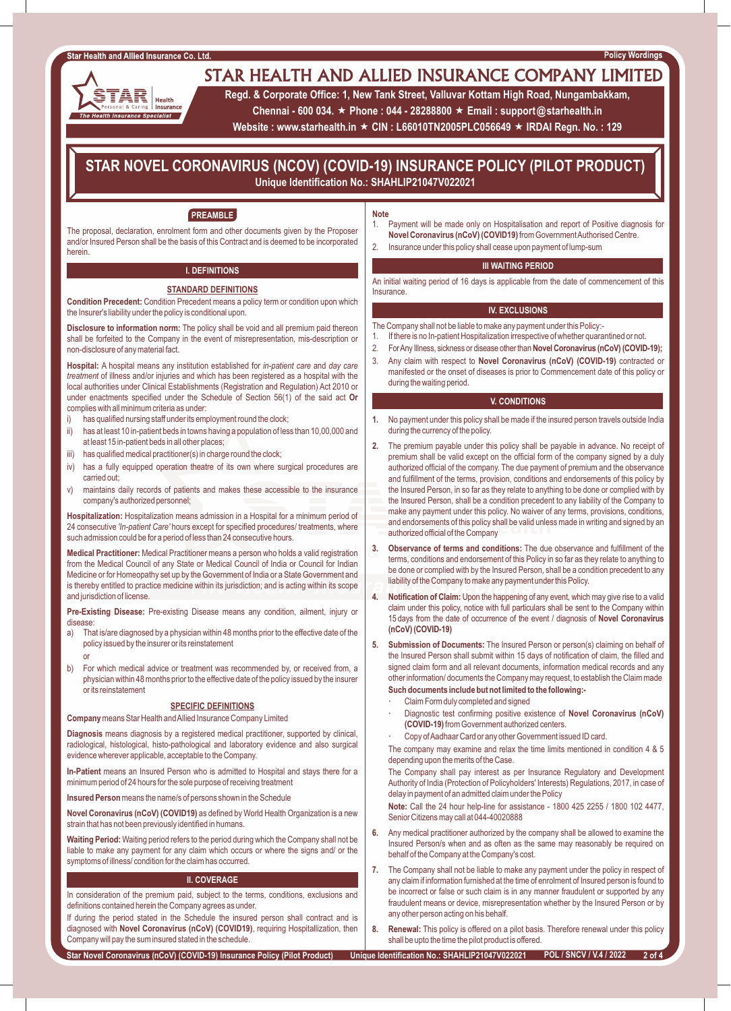AR

The Health Insurance Specialist

Health Insurance

# STAR HEALTH AND ALLIED INSURANCE COMPANY LIMITED

**Regd. & Corporate Office: 1, New Tank Street, Valluvar Kottam High Road, Nungambakkam,** 

**Chennai - 600 034.** « **Phone : 044 - 28288800** « **Email : support@starhealth.in** 

**Website : www.starhealth.in ★ CIN : L66010TN2005PLC056649 ★ IRDAI Regn. No. : 129** 

## **STAR NOVEL CORONAVIRUS (NCOV) (COVID-19) INSURANCE POLICY (PILOT PRODUCT) Unique Identification No.: SHAHLIP21047V022021**

## **PREAMBLE**

The proposal, declaration, enrolment form and other documents given by the Proposer and/or Insured Person shall be the basis of this Contract and is deemed to be incorporated herein.

## **I. DEFINITIONS**

#### **STANDARD DEFINITIONS**

**Condition Precedent:** Condition Precedent means a policy term or condition upon which the Insurer's liability under the policy is conditional upon.

**Disclosure to information norm:** The policy shall be void and all premium paid thereon shall be forfeited to the Company in the event of misrepresentation, mis-description or non-disclosure of any material fact.

**Hospital:** A hospital means any institution established for *in-patient care* and *day care treatment* of illness and/or injuries and which has been registered as a hospital with the local authorities under Clinical Establishments (Registration and Regulation) Act 2010 or under enactments specified under the Schedule of Section 56(1) of the said act **Or**  complies with all minimum criteria as under:

- i) has qualified nursing staff under its employment round the clock;
- ii) has at least 10 in-patient beds in towns having a population of less than 10,00,000 and at least 15 in-patient beds in all other places;
- iii) has qualified medical practitioner(s) in charge round the clock;
- iv) has a fully equipped operation theatre of its own where surgical procedures are carried out;
- v) maintains daily records of patients and makes these accessible to the insurance company's authorized personnel;

**Hospitalization:** Hospitalization means admission in a Hospital for a minimum period of 24 consecutive *'In-patient Care'* hours except for specified procedures/ treatments, where such admission could be for a period of less than 24 consecutive hours.

**Medical Practitioner:** Medical Practitioner means a person who holds a valid registration from the Medical Council of any State or Medical Council of India or Council for Indian Medicine or for Homeopathy set up by the Government of India or a State Government and is thereby entitled to practice medicine within its jurisdiction; and is acting within its scope and jurisdiction of license.

**Pre-Existing Disease:** Pre-existing Disease means any condition, ailment, injury or disease:

a) That is/are diagnosed by a physician within 48 months prior to the effective date of the policy issued by the insurer or its reinstatement

or

b) For which medical advice or treatment was recommended by, or received from, a physician within 48 months prior to the effective date of the policy issued by the insurer or its reinstatement

#### **SPECIFIC DEFINITIONS**

**Company** means Star Health and Allied Insurance Company Limited

**Diagnosis** means diagnosis by a registered medical practitioner, supported by clinical, radiological, histological, histo-pathological and laboratory evidence and also surgical evidence wherever applicable, acceptable to the Company.

**In-Patient** means an Insured Person who is admitted to Hospital and stays there for a minimum period of 24 hours for the sole purpose of receiving treatment

**Insured Person**means the name/s of persons shown in the Schedule

**Novel Coronavirus (nCoV) (COVID19)** as defined by World Health Organization is a new strain that has not been previously identified in humans.

**Waiting Period:** Waiting period refers to the period during which the Company shall not be liable to make any payment for any claim which occurs or where the signs and/ or the symptoms of illness/ condition for the claim has occurred.

#### **II. COVERAGE**

In consideration of the premium paid, subject to the terms, conditions, exclusions and definitions contained herein the Company agrees as under.

If during the period stated in the Schedule the insured person shall contract and is diagnosed with **Novel Coronavirus (nCoV) (COVID19)**, requiring Hospitallization, then Company will pay the sum insured stated in the schedule.

#### **Note**

- 1. Payment will be made only on Hospitalisation and report of Positive diagnosis for **Novel Coronavirus (nCoV) (COVID19)**from Government Authorised Centre.
- 2. Insurance under this policy shall cease upon payment of lump-sum

#### **III WAITING PERIOD**

An initial waiting period of 16 days is applicable from the date of commencement of this **Insurance** 

#### **IV. EXCLUSIONS**

- The Company shall not be liable to make any payment under this Policy:-
- 1. If there is no In-patient Hospitalization irrespective of whether quarantined or not.
- 2. For Any Illness, sickness or disease other than**Novel Coronavirus (nCoV) (COVID-19);**
- 3. Any claim with respect to **Novel Coronavirus (nCoV) (COVID-19)** contracted or manifested or the onset of diseases is prior to Commencement date of this policy or during the waiting period.

#### **V. CONDITIONS**

- **1.** No payment under this policy shall be made if the insured person travels outside India during the currency of the policy.
- **2.** The premium payable under this policy shall be payable in advance. No receipt of premium shall be valid except on the official form of the company signed by a duly authorized official of the company. The due payment of premium and the observance and fulfillment of the terms, provision, conditions and endorsements of this policy by the Insured Person, in so far as they relate to anything to be done or complied with by the Insured Person, shall be a condition precedent to any liability of the Company to make any payment under this policy. No waiver of any terms, provisions, conditions, and endorsements of this policy shall be valid unless made in writing and signed by an authorized official of the Company
- **3. Observance of terms and conditions:** The due observance and fulfillment of the terms, conditions and endorsement of this Policy in so far as they relate to anything to be done or complied with by the Insured Person, shall be a condition precedent to any liability of the Company to make any payment under this Policy.
- **4. Notification of Claim:** Upon the happening of any event, which may give rise to a valid claim under this policy, notice with full particulars shall be sent to the Company within 15 days from the date of occurrence of the event / diagnosis of **Novel Coronavirus (nCoV) (COVID-19)**
- **5. Submission of Documents:** The Insured Person or person(s) claiming on behalf of the Insured Person shall submit within 15 days of notification of claim, the filled and signed claim form and all relevant documents, information medical records and any other information/ documents the Company may request, to establish the Claim made **Such documents include but not limited to the following:-**
	- Claim Form duly completed and signed
	- Diagnostic test confirming positive existence of **Novel Coronavirus (nCoV) (COVID-19)**from Government authorized centers.
	- Copy of Aadhaar Card or any other Government issued ID card.

The company may examine and relax the time limits mentioned in condition 4 & 5 depending upon the merits of the Case.

The Company shall pay interest as per Insurance Regulatory and Development Authority of India (Protection of Policyholders' Interests) Regulations, 2017, in case of delay in payment of an admitted claim under the Policy

**Note:** Call the 24 hour help-line for assistance - 1800 425 2255 / 1800 102 4477, Senior Citizens may call at 044-40020888

- **6.** Any medical practitioner authorized by the company shall be allowed to examine the Insured Person/s when and as often as the same may reasonably be required on behalf of the Company at the Company's cost.
- **7.** The Company shall not be liable to make any payment under the policy in respect of any claim if information furnished at the time of enrolment of Insured person is found to be incorrect or false or such claim is in any manner fraudulent or supported by any fraudulent means or device, misrepresentation whether by the Insured Person or by any other person acting on his behalf.
- **8. Renewal:** This policy is offered on a pilot basis. Therefore renewal under this policy shall be upto the time the pilot product is offered.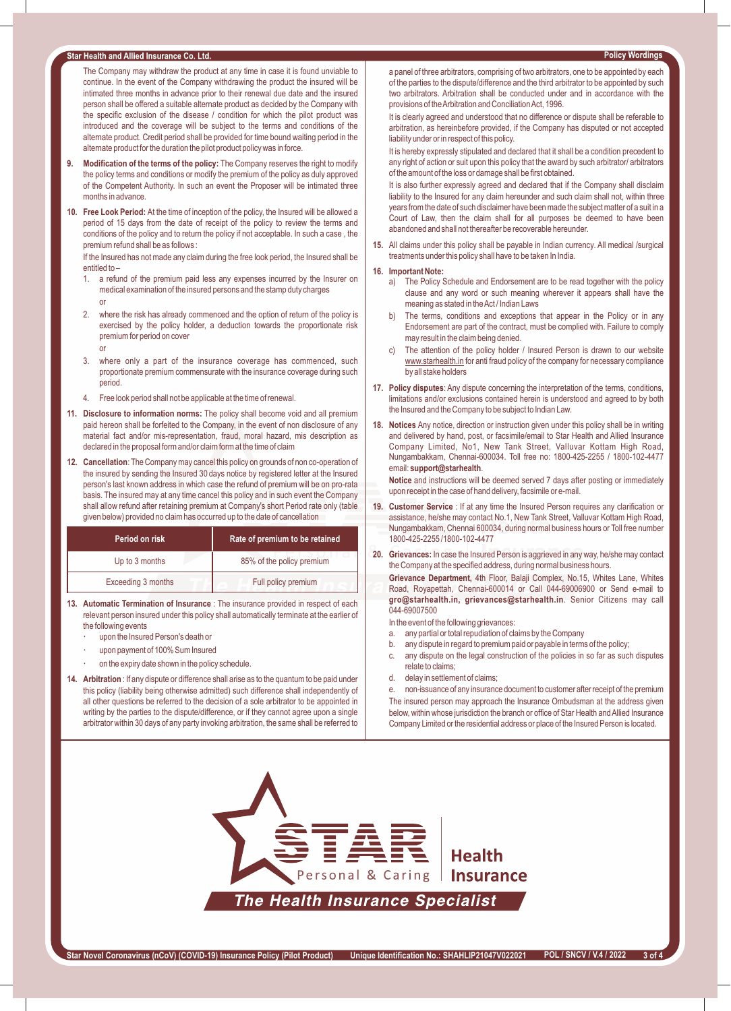#### Star Health and Allied Insurance Co. Ltd.

The Company may withdraw the product at any time in case it is found unviable to continue. In the event of the Company withdrawing the product the insured will be intimated three months in advance prior to their renewal due date and the insured person shall be offered a suitable alternate product as decided by the Company with the specific exclusion of the disease / condition for which the pilot product was introduced and the coverage will be subject to the terms and conditions of the alternate product. Credit period shall be provided for time bound waiting period in the alternate product for the duration the pilot product policy was in force.

- **9. Modification of the terms of the policy:** The Company reserves the right to modify the policy terms and conditions or modify the premium of the policy as duly approved of the Competent Authority. In such an event the Proposer will be intimated three months in advance.
- **10. Free Look Period:** At the time of inception of the policy, the Insured will be allowed a period of 15 days from the date of receipt of the policy to review the terms and conditions of the policy and to return the policy if not acceptable. In such a case , the premium refund shall be as follows :

If the Insured has not made any claim during the free look period, the Insured shall be entitled to –

- 1. a refund of the premium paid less any expenses incurred by the Insurer on medical examination of the insured persons and the stamp duty charges
- or
- 2. where the risk has already commenced and the option of return of the policy is exercised by the policy holder, a deduction towards the proportionate risk premium for period on cover
	- or
- 3. where only a part of the insurance coverage has commenced, such proportionate premium commensurate with the insurance coverage during such period.
- 4. Free look period shall not be applicable at the time of renewal.
- **11. Disclosure to information norms:** The policy shall become void and all premium paid hereon shall be forfeited to the Company, in the event of non disclosure of any material fact and/or mis-representation, fraud, moral hazard, mis description as declared in the proposal form and/or claim form at the time of claim
- **12. Cancellation**: The Company may cancel this policy on grounds of non co-operation of the insured by sending the Insured 30 days notice by registered letter at the Insured person's last known address in which case the refund of premium will be on pro-rata basis. The insured may at any time cancel this policy and in such event the Company shall allow refund after retaining premium at Company's short Period rate only (table given below) provided no claim has occurred up to the date of cancellation

| Period on risk     | Rate of premium to be retained |  |
|--------------------|--------------------------------|--|
| Up to 3 months     | 85% of the policy premium      |  |
| Exceeding 3 months | Full policy premium            |  |

- **13. Automatic Termination of Insurance** : The insurance provided in respect of each relevant person insured under this policy shall automatically terminate at the earlier of the following events
	- upon the Insured Person's death or
	- upon payment of 100% Sum Insured
	- on the expiry date shown in the policy schedule.
- **14. Arbitration** : If any dispute or difference shall arise as to the quantum to be paid under this policy (liability being otherwise admitted) such difference shall independently of all other questions be referred to the decision of a sole arbitrator to be appointed in writing by the parties to the dispute/difference, or if they cannot agree upon a single arbitrator within 30 days of any party invoking arbitration, the same shall be referred to

**Policy Wordings** 

It is clearly agreed and understood that no difference or dispute shall be referable to arbitration, as hereinbefore provided, if the Company has disputed or not accepted liability under or in respect of this policy.

It is hereby expressly stipulated and declared that it shall be a condition precedent to any right of action or suit upon this policy that the award by such arbitrator/ arbitrators of the amount of the loss or damage shall be first obtained.

It is also further expressly agreed and declared that if the Company shall disclaim liability to the Insured for any claim hereunder and such claim shall not, within three years from the date of such disclaimer have been made the subject matter of a suit in a Court of Law, then the claim shall for all purposes be deemed to have been abandoned and shall not thereafter be recoverable hereunder.

**15.** All claims under this policy shall be payable in Indian currency. All medical /surgical treatments under this policy shall have to be taken In India.

#### **16. Important Note:**

- a) The Policy Schedule and Endorsement are to be read together with the policy clause and any word or such meaning wherever it appears shall have the meaning as stated in the Act / Indian Laws
- The terms, conditions and exceptions that appear in the Policy or in any Endorsement are part of the contract, must be complied with. Failure to comply may result in the claim being denied.
- The attention of the policy holder / Insured Person is drawn to our website www.starhealth.in for anti fraud policy of the company for necessary compliance by all stake holders
- **17. Policy disputes**: Any dispute concerning the interpretation of the terms, conditions, limitations and/or exclusions contained herein is understood and agreed to by both the Insured and the Company to be subject to Indian Law.
- **18. Notices** Any notice, direction or instruction given under this policy shall be in writing and delivered by hand, post, or facsimile/email to Star Health and Allied Insurance Company Limited, No1, New Tank Street, Valluvar Kottam High Road, Nungambakkam, Chennai-600034. Toll free no: 1800-425-2255 / 1800-102-4477 email: **support@starhealth**.

**Notice** and instructions will be deemed served 7 days after posting or immediately upon receipt in the case of hand delivery, facsimile or e-mail.

- **19. Customer Service** : If at any time the Insured Person requires any clarification or assistance, he/she may contact No.1, New Tank Street, Valluvar Kottam High Road, Nungambakkam, Chennai 600034, during normal business hours or Toll free number 1800-425-2255 /1800-102-4477
- **20. Grievances:** In case the Insured Person is aggrieved in any way, he/she may contact the Company at the specified address, during normal business hours.

**Grievance Department,** 4th Floor, Balaji Complex, No.15, Whites Lane, Whites Road, Royapettah, Chennai-600014 or Call 044-69006900 or Send e-mail to **gro@starhealth.in, grievances@starhealth.in**. Senior Citizens may call 044-69007500

In the event of the following grievances:

- a. any partial or total repudiation of claims by the Company
	- b. any dispute in regard to premium paid or payable in terms of the policy;
	- c. any dispute on the legal construction of the policies in so far as such disputes relate to claims;
	- d. delay in settlement of claims;
	- non-issuance of any insurance document to customer after receipt of the premium

The insured person may approach the Insurance Ombudsman at the address given below, within whose jurisdiction the branch or office of Star Health and Allied Insurance Company Limited or the residential address or place of the Insured Person is located.